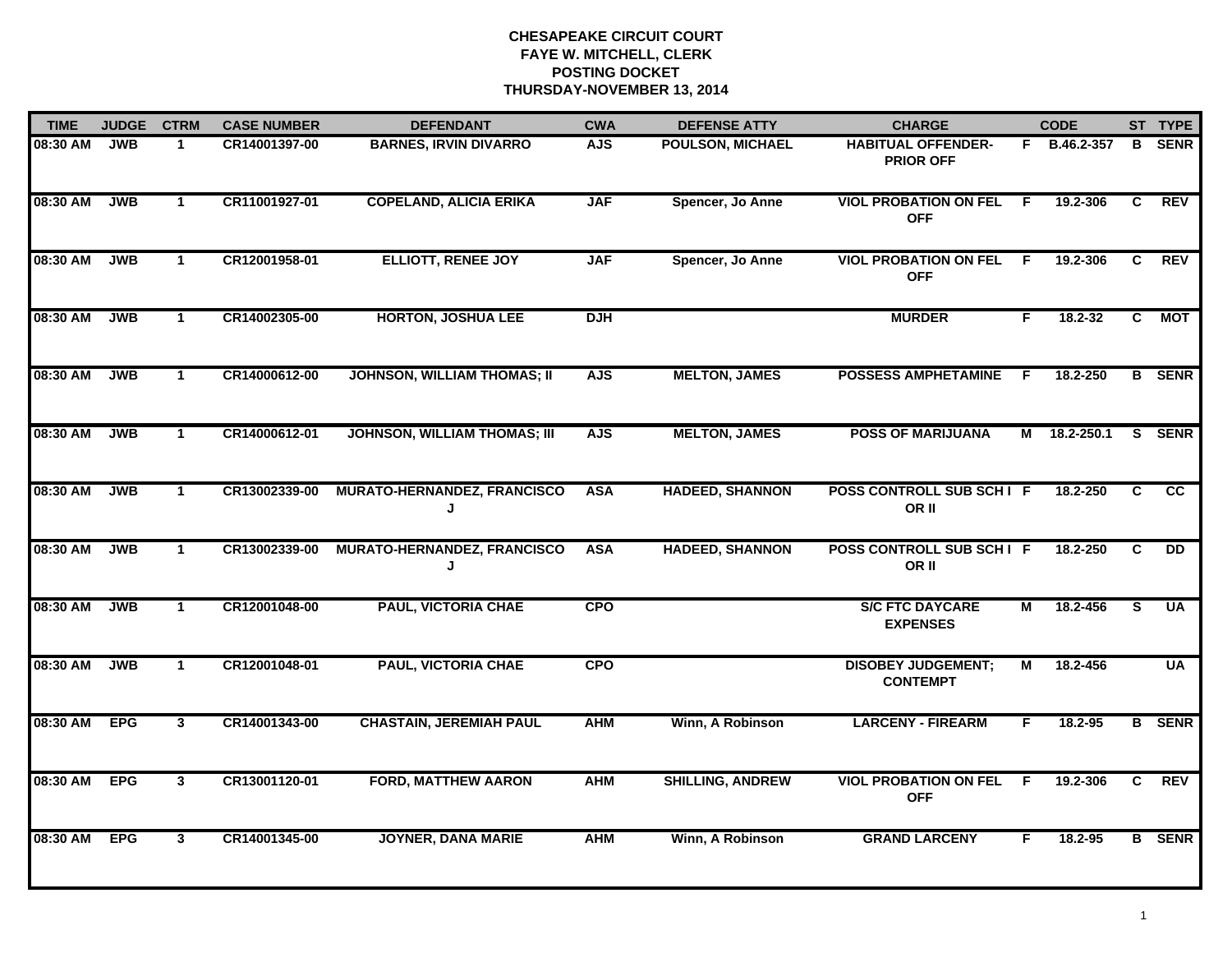| <b>TIME</b> | <b>JUDGE</b> | <b>CTRM</b>             | <b>CASE NUMBER</b> | <b>DEFENDANT</b>                    | <b>CWA</b> | <b>DEFENSE ATTY</b>     | <b>CHARGE</b>                                 |     | <b>CODE</b>  |    | ST TYPE         |
|-------------|--------------|-------------------------|--------------------|-------------------------------------|------------|-------------------------|-----------------------------------------------|-----|--------------|----|-----------------|
| 08:30 AM    | <b>JWB</b>   | $\mathbf 1$             | CR14001397-00      | <b>BARNES, IRVIN DIVARRO</b>        | <b>AJS</b> | <b>POULSON, MICHAEL</b> | <b>HABITUAL OFFENDER-</b><br><b>PRIOR OFF</b> |     | F B.46.2-357 | B  | <b>SENR</b>     |
| 08:30 AM    | <b>JWB</b>   | $\mathbf{1}$            | CR11001927-01      | <b>COPELAND, ALICIA ERIKA</b>       | <b>JAF</b> | Spencer, Jo Anne        | <b>VIOL PROBATION ON FEL</b><br><b>OFF</b>    | F.  | 19.2-306     | C  | <b>REV</b>      |
| 08:30 AM    | <b>JWB</b>   | $\mathbf{1}$            | CR12001958-01      | <b>ELLIOTT, RENEE JOY</b>           | <b>JAF</b> | Spencer, Jo Anne        | <b>VIOL PROBATION ON FEL</b><br><b>OFF</b>    | E   | 19.2-306     | C  | <b>REV</b>      |
| 08:30 AM    | <b>JWB</b>   | $\mathbf{1}$            | CR14002305-00      | <b>HORTON, JOSHUA LEE</b>           | <b>DJH</b> |                         | <b>MURDER</b>                                 | F.  | $18.2 - 32$  | C  | <b>MOT</b>      |
| 08:30 AM    | <b>JWB</b>   | $\mathbf{1}$            | CR14000612-00      | <b>JOHNSON, WILLIAM THOMAS; II</b>  | <b>AJS</b> | <b>MELTON, JAMES</b>    | <b>POSSESS AMPHETAMINE</b>                    | E   | 18.2-250     |    | <b>B</b> SENR   |
| 08:30 AM    | <b>JWB</b>   | $\mathbf{1}$            | CR14000612-01      | <b>JOHNSON, WILLIAM THOMAS; III</b> | <b>AJS</b> | <b>MELTON, JAMES</b>    | <b>POSS OF MARIJUANA</b>                      |     | M 18.2-250.1 |    | S SENR          |
| 08:30 AM    | <b>JWB</b>   | $\mathbf{1}$            | CR13002339-00      | MURATO-HERNANDEZ, FRANCISCO<br>J    | <b>ASA</b> | <b>HADEED, SHANNON</b>  | <b>POSS CONTROLL SUB SCHI F</b><br>OR II      |     | 18.2-250     | C  | <b>CC</b>       |
| 08:30 AM    | <b>JWB</b>   | $\mathbf{1}$            | CR13002339-00      | MURATO-HERNANDEZ, FRANCISCO<br>J    | <b>ASA</b> | <b>HADEED, SHANNON</b>  | <b>POSS CONTROLL SUB SCHI F</b><br>OR II      |     | 18.2-250     | C  | $\overline{DD}$ |
| 08:30 AM    | <b>JWB</b>   | $\mathbf{1}$            | CR12001048-00      | <b>PAUL, VICTORIA CHAE</b>          | <b>CPO</b> |                         | <b>S/C FTC DAYCARE</b><br><b>EXPENSES</b>     | М   | 18.2-456     | S. | UA              |
| 08:30 AM    | <b>JWB</b>   | $\mathbf{1}$            | CR12001048-01      | <b>PAUL, VICTORIA CHAE</b>          | <b>CPO</b> |                         | <b>DISOBEY JUDGEMENT;</b><br><b>CONTEMPT</b>  | M   | 18.2-456     |    | <b>UA</b>       |
| 08:30 AM    | <b>EPG</b>   | $\mathbf{3}$            | CR14001343-00      | <b>CHASTAIN, JEREMIAH PAUL</b>      | <b>AHM</b> | Winn, A Robinson        | <b>LARCENY - FIREARM</b>                      | F   | 18.2-95      |    | <b>B</b> SENR   |
| 08:30 AM    | <b>EPG</b>   | $\overline{\mathbf{3}}$ | CR13001120-01      | <b>FORD, MATTHEW AARON</b>          | <b>AHM</b> | <b>SHILLING, ANDREW</b> | <b>VIOL PROBATION ON FEL</b><br><b>OFF</b>    | - F | 19.2-306     | C  | REV             |
| 08:30 AM    | <b>EPG</b>   | $\mathbf{3}$            | CR14001345-00      | <b>JOYNER, DANA MARIE</b>           | <b>AHM</b> | Winn, A Robinson        | <b>GRAND LARCENY</b>                          | F   | 18.2-95      |    | <b>B</b> SENR   |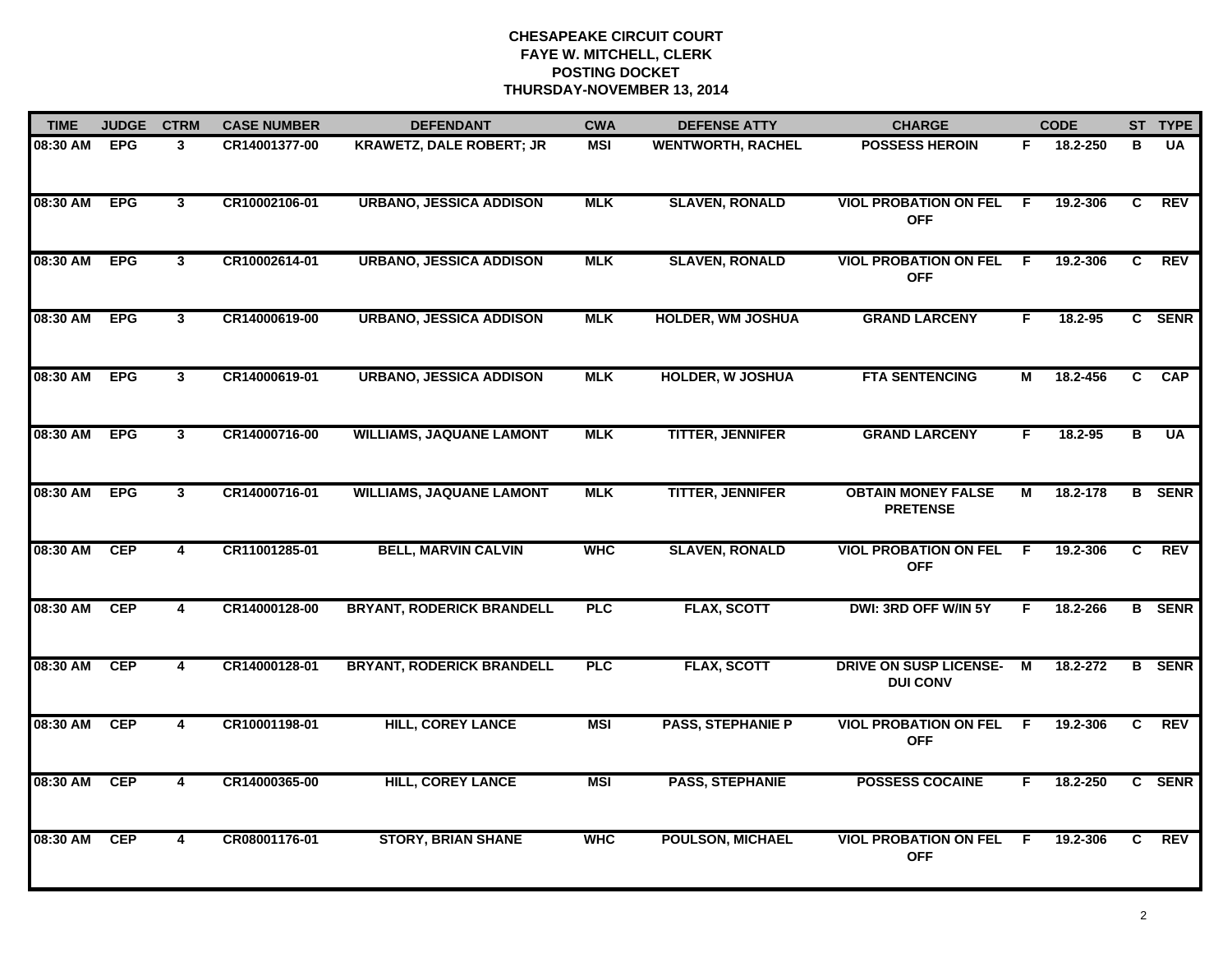| <b>TIME</b> | <b>JUDGE</b> | <b>CTRM</b>             | <b>CASE NUMBER</b> | <b>DEFENDANT</b>                 | <b>CWA</b> | <b>DEFENSE ATTY</b>      | <b>CHARGE</b>                                    | <b>CODE</b> |          |              | ST TYPE        |
|-------------|--------------|-------------------------|--------------------|----------------------------------|------------|--------------------------|--------------------------------------------------|-------------|----------|--------------|----------------|
| 08:30 AM    | <b>EPG</b>   | $\mathbf{3}$            | CR14001377-00      | <b>KRAWETZ, DALE ROBERT; JR</b>  | <b>MSI</b> | <b>WENTWORTH, RACHEL</b> | <b>POSSESS HEROIN</b>                            | F.          | 18.2-250 | в            | <b>UA</b>      |
| 08:30 AM    | <b>EPG</b>   | $\overline{\mathbf{3}}$ | CR10002106-01      | <b>URBANO, JESSICA ADDISON</b>   | <b>MLK</b> | <b>SLAVEN, RONALD</b>    | <b>VIOL PROBATION ON FEL</b><br><b>OFF</b>       | -F          | 19.2-306 | C            | <b>REV</b>     |
| 08:30 AM    | <b>EPG</b>   | 3                       | CR10002614-01      | <b>URBANO, JESSICA ADDISON</b>   | <b>MLK</b> | <b>SLAVEN, RONALD</b>    | <b>VIOL PROBATION ON FEL</b><br><b>OFF</b>       | E           | 19.2-306 | C            | <b>REV</b>     |
| 08:30 AM    | <b>EPG</b>   | $\mathbf{3}$            | CR14000619-00      | <b>URBANO, JESSICA ADDISON</b>   | <b>MLK</b> | <b>HOLDER, WM JOSHUA</b> | <b>GRAND LARCENY</b>                             | F.          | 18.2-95  |              | C SENR         |
| 08:30 AM    | <b>EPG</b>   | $\mathbf{3}$            | CR14000619-01      | <b>URBANO, JESSICA ADDISON</b>   | <b>MLK</b> | <b>HOLDER, W JOSHUA</b>  | <b>FTA SENTENCING</b>                            | М           | 18.2-456 |              | C CAP          |
| 08:30 AM    | <b>EPG</b>   | $\mathbf{3}$            | CR14000716-00      | <b>WILLIAMS, JAQUANE LAMONT</b>  | <b>MLK</b> | <b>TITTER, JENNIFER</b>  | <b>GRAND LARCENY</b>                             | F.          | 18.2-95  | в            | $\overline{U}$ |
| 08:30 AM    | <b>EPG</b>   | $\overline{\mathbf{3}}$ | CR14000716-01      | <b>WILLIAMS, JAQUANE LAMONT</b>  | <b>MLK</b> | <b>TITTER, JENNIFER</b>  | <b>OBTAIN MONEY FALSE</b><br><b>PRETENSE</b>     | М           | 18.2-178 |              | <b>B</b> SENR  |
| 08:30 AM    | <b>CEP</b>   | 4                       | CR11001285-01      | <b>BELL, MARVIN CALVIN</b>       | <b>WHC</b> | <b>SLAVEN, RONALD</b>    | <b>VIOL PROBATION ON FEL</b><br><b>OFF</b>       | E           | 19.2-306 | C            | <b>REV</b>     |
| 08:30 AM    | <b>CEP</b>   | 4                       | CR14000128-00      | <b>BRYANT, RODERICK BRANDELL</b> | <b>PLC</b> | <b>FLAX, SCOTT</b>       | DWI: 3RD OFF W/IN 5Y                             | F           | 18.2-266 |              | <b>B</b> SENR  |
| 08:30 AM    | <b>CEP</b>   | 4                       | CR14000128-01      | <b>BRYANT, RODERICK BRANDELL</b> | <b>PLC</b> | <b>FLAX, SCOTT</b>       | <b>DRIVE ON SUSP LICENSE-</b><br><b>DUI CONV</b> | M           | 18.2-272 |              | <b>B</b> SENR  |
| 08:30 AM    | <b>CEP</b>   | $\overline{4}$          | CR10001198-01      | <b>HILL, COREY LANCE</b>         | <b>MSI</b> | <b>PASS, STEPHANIE P</b> | <b>VIOL PROBATION ON FEL F</b><br><b>OFF</b>     |             | 19.2-306 | $\mathbf{c}$ | REV            |
| 08:30 AM    | <b>CEP</b>   | 4                       | CR14000365-00      | <b>HILL, COREY LANCE</b>         | <b>MSI</b> | <b>PASS, STEPHANIE</b>   | <b>POSSESS COCAINE</b>                           | F.          | 18.2-250 |              | C SENR         |
| 08:30 AM    | <b>CEP</b>   | $\overline{4}$          | CR08001176-01      | <b>STORY, BRIAN SHANE</b>        | <b>WHC</b> | <b>POULSON, MICHAEL</b>  | <b>VIOL PROBATION ON FEL</b><br><b>OFF</b>       | F           | 19.2-306 | C.           | <b>REV</b>     |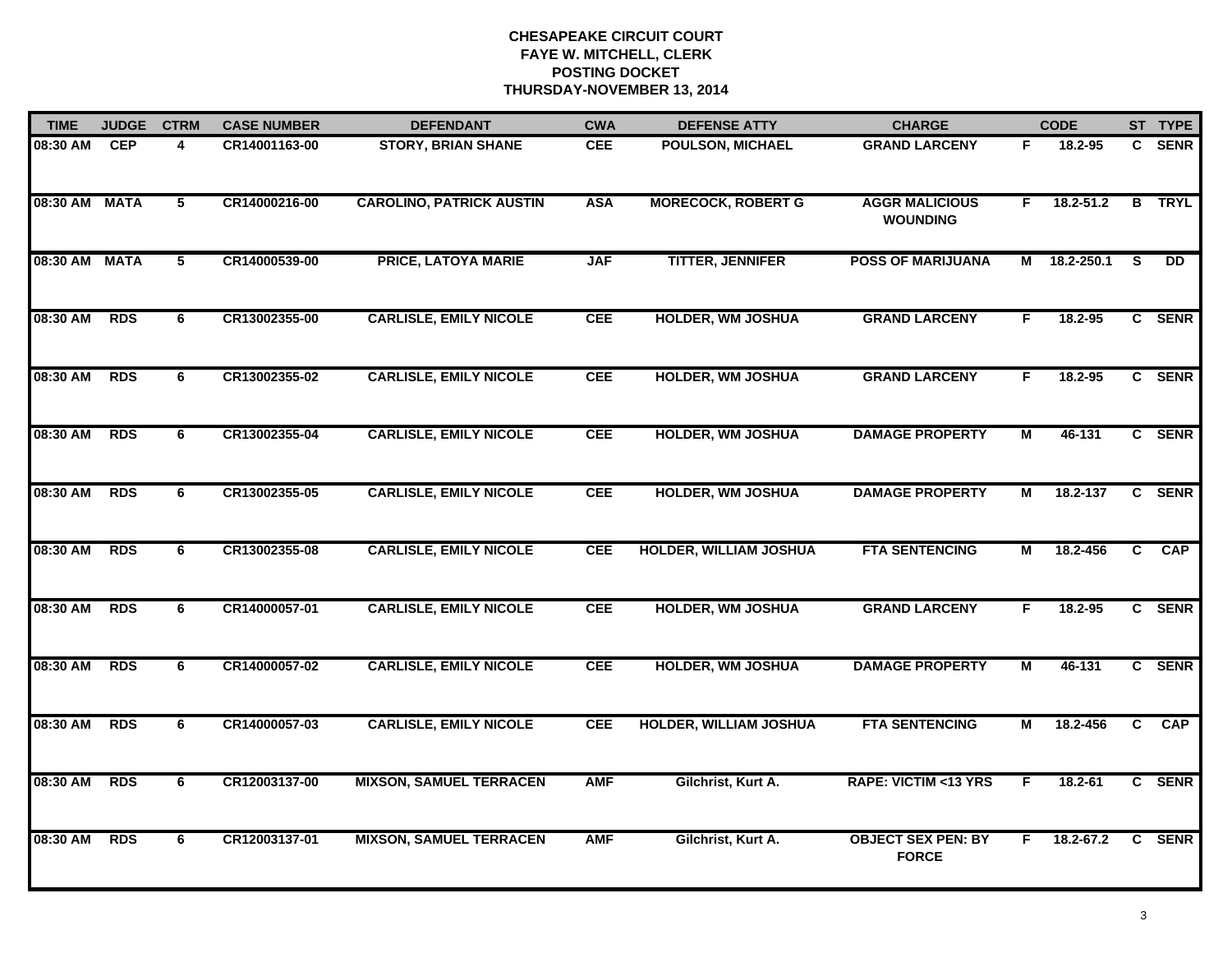| <b>TIME</b> | <b>JUDGE</b> | <b>CTRM</b>    | <b>CASE NUMBER</b> | <b>DEFENDANT</b>                | <b>CWA</b> | <b>DEFENSE ATTY</b>           | <b>CHARGE</b>                             | <b>CODE</b> |               |                         | ST TYPE         |
|-------------|--------------|----------------|--------------------|---------------------------------|------------|-------------------------------|-------------------------------------------|-------------|---------------|-------------------------|-----------------|
| 08:30 AM    | <b>CEP</b>   | 4              | CR14001163-00      | <b>STORY, BRIAN SHANE</b>       | CEE        | POULSON, MICHAEL              | <b>GRAND LARCENY</b>                      | F           | 18.2-95       |                         | C SENR          |
| 08:30 AM    | <b>MATA</b>  | $\overline{5}$ | CR14000216-00      | <b>CAROLINO, PATRICK AUSTIN</b> | <b>ASA</b> | <b>MORECOCK, ROBERT G</b>     | <b>AGGR MALICIOUS</b><br><b>WOUNDING</b>  | F.          | $18.2 - 51.2$ | $\overline{\mathbf{B}}$ | <b>TRYL</b>     |
| 08:30 AM    | <b>MATA</b>  | $\overline{5}$ | CR14000539-00      | <b>PRICE, LATOYA MARIE</b>      | <b>JAF</b> | <b>TITTER, JENNIFER</b>       | <b>POSS OF MARIJUANA</b>                  | М           | 18.2-250.1    | <b>S</b>                | $\overline{DD}$ |
| 08:30 AM    | <b>RDS</b>   | 6              | CR13002355-00      | <b>CARLISLE, EMILY NICOLE</b>   | <b>CEE</b> | <b>HOLDER, WM JOSHUA</b>      | <b>GRAND LARCENY</b>                      | F.          | $18.2 - 95$   |                         | C SENR          |
| 08:30 AM    | <b>RDS</b>   | 6              | CR13002355-02      | <b>CARLISLE, EMILY NICOLE</b>   | <b>CEE</b> | <b>HOLDER, WM JOSHUA</b>      | <b>GRAND LARCENY</b>                      | F.          | 18.2-95       |                         | C SENR          |
| 08:30 AM    | <b>RDS</b>   | 6              | CR13002355-04      | <b>CARLISLE, EMILY NICOLE</b>   | <b>CEE</b> | <b>HOLDER, WM JOSHUA</b>      | <b>DAMAGE PROPERTY</b>                    | М           | 46-131        |                         | C SENR          |
| 08:30 AM    | <b>RDS</b>   | 6              | CR13002355-05      | <b>CARLISLE, EMILY NICOLE</b>   | <b>CEE</b> | <b>HOLDER, WM JOSHUA</b>      | <b>DAMAGE PROPERTY</b>                    | М           | 18.2-137      |                         | C SENR          |
| 08:30 AM    | <b>RDS</b>   | 6              | CR13002355-08      | <b>CARLISLE, EMILY NICOLE</b>   | <b>CEE</b> | <b>HOLDER, WILLIAM JOSHUA</b> | <b>FTA SENTENCING</b>                     | М           | 18.2-456      | $\overline{c}$          | <b>CAP</b>      |
| 08:30 AM    | <b>RDS</b>   | 6              | CR14000057-01      | <b>CARLISLE, EMILY NICOLE</b>   | <b>CEE</b> | <b>HOLDER, WM JOSHUA</b>      | <b>GRAND LARCENY</b>                      | F           | 18.2-95       |                         | C SENR          |
| 08:30 AM    | <b>RDS</b>   | 6              | CR14000057-02      | <b>CARLISLE, EMILY NICOLE</b>   | <b>CEE</b> | <b>HOLDER, WM JOSHUA</b>      | <b>DAMAGE PROPERTY</b>                    | М           | 46-131        |                         | C SENR          |
| 08:30 AM    | <b>RDS</b>   | 6              | CR14000057-03      | <b>CARLISLE, EMILY NICOLE</b>   | <b>CEE</b> | <b>HOLDER, WILLIAM JOSHUA</b> | <b>FTA SENTENCING</b>                     | М           | 18.2-456      |                         | C CAP           |
| 08:30 AM    | <b>RDS</b>   | 6              | CR12003137-00      | <b>MIXSON, SAMUEL TERRACEN</b>  | <b>AMF</b> | Gilchrist, Kurt A.            | <b>RAPE: VICTIM &lt;13 YRS</b>            | E           | $18.2 - 61$   |                         | C SENR          |
| 08:30 AM    | <b>RDS</b>   | 6              | CR12003137-01      | <b>MIXSON, SAMUEL TERRACEN</b>  | <b>AMF</b> | Gilchrist, Kurt A.            | <b>OBJECT SEX PEN: BY</b><br><b>FORCE</b> | F.          | 18.2-67.2     |                         | C SENR          |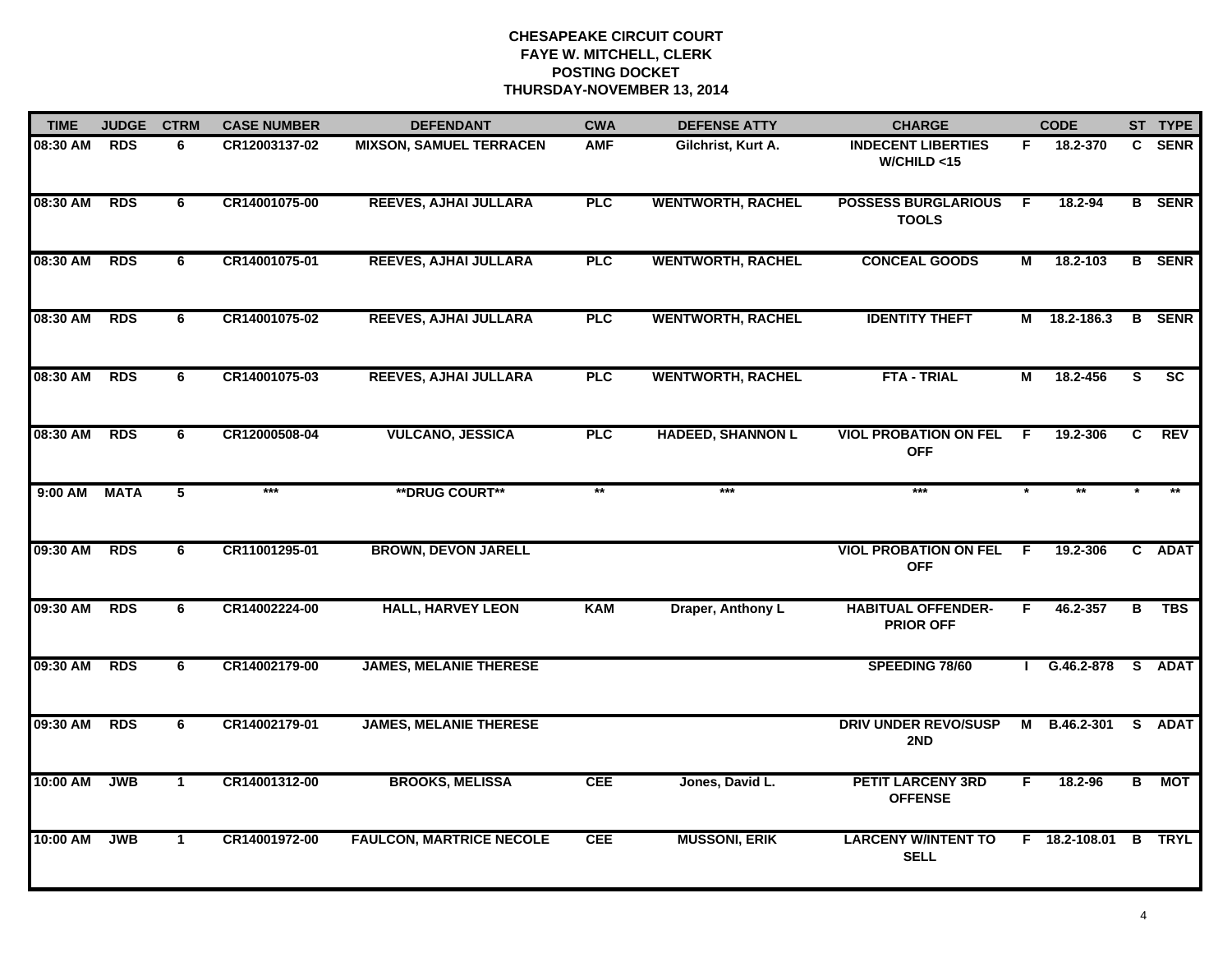| <b>TIME</b> | <b>JUDGE</b> | <b>CTRM</b>    | <b>CASE NUMBER</b> | <b>DEFENDANT</b>                | <b>CWA</b> | <b>DEFENSE ATTY</b>      | <b>CHARGE</b>                                 | <b>CODE</b> |               |    | ST TYPE       |
|-------------|--------------|----------------|--------------------|---------------------------------|------------|--------------------------|-----------------------------------------------|-------------|---------------|----|---------------|
| 08:30 AM    | <b>RDS</b>   | 6              | CR12003137-02      | <b>MIXSON, SAMUEL TERRACEN</b>  | <b>AMF</b> | Gilchrist, Kurt A.       | <b>INDECENT LIBERTIES</b><br>W/CHILD < 15     | F.          | 18.2-370      |    | C SENR        |
| 08:30 AM    | <b>RDS</b>   | 6              | CR14001075-00      | REEVES, AJHAI JULLARA           | <b>PLC</b> | <b>WENTWORTH, RACHEL</b> | <b>POSSESS BURGLARIOUS</b><br><b>TOOLS</b>    | -F          | 18.2-94       |    | <b>B</b> SENR |
| 08:30 AM    | <b>RDS</b>   | 6              | CR14001075-01      | <b>REEVES, AJHAI JULLARA</b>    | <b>PLC</b> | <b>WENTWORTH, RACHEL</b> | <b>CONCEAL GOODS</b>                          | М           | 18.2-103      |    | <b>B</b> SENR |
| 08:30 AM    | <b>RDS</b>   | 6              | CR14001075-02      | <b>REEVES, AJHAI JULLARA</b>    | PLC        | <b>WENTWORTH, RACHEL</b> | <b>IDENTITY THEFT</b>                         | М           | 18.2-186.3    |    | <b>B</b> SENR |
| 08:30 AM    | <b>RDS</b>   | 6              | CR14001075-03      | <b>REEVES, AJHAI JULLARA</b>    | <b>PLC</b> | <b>WENTWORTH, RACHEL</b> | <b>FTA - TRIAL</b>                            | М           | 18.2-456      | S. | <b>SC</b>     |
| 08:30 AM    | <b>RDS</b>   | 6              | CR12000508-04      | <b>VULCANO, JESSICA</b>         | PLC        | <b>HADEED, SHANNON L</b> | <b>VIOL PROBATION ON FEL</b><br><b>OFF</b>    | -F          | 19.2-306      | C. | REV           |
| $9:00$ AM   | <b>MATA</b>  | $\overline{5}$ | $***$              | <b>**DRUG COURT**</b>           | $**$       | $***$                    | $***$                                         |             | $\star\star$  |    |               |
| 09:30 AM    | <b>RDS</b>   | 6              | CR11001295-01      | <b>BROWN, DEVON JARELL</b>      |            |                          | <b>VIOL PROBATION ON FEL</b><br><b>OFF</b>    | -F          | 19.2-306      |    | C ADAT        |
| 09:30 AM    | <b>RDS</b>   | 6              | CR14002224-00      | <b>HALL, HARVEY LEON</b>        | <b>KAM</b> | Draper, Anthony L        | <b>HABITUAL OFFENDER-</b><br><b>PRIOR OFF</b> | F           | 46.2-357      | в  | TBS           |
| 09:30 AM    | <b>RDS</b>   | 6              | CR14002179-00      | <b>JAMES, MELANIE THERESE</b>   |            |                          | SPEEDING 78/60                                |             | G.46.2-878    |    | S ADAT        |
| 09:30 AM    | <b>RDS</b>   | 6              | CR14002179-01      | <b>JAMES, MELANIE THERESE</b>   |            |                          | <b>DRIV UNDER REVO/SUSP</b><br>2ND            | М           | B.46.2-301    | S. | <b>ADAT</b>   |
| 10:00 AM    | <b>JWB</b>   | $\mathbf{1}$   | CR14001312-00      | <b>BROOKS, MELISSA</b>          | <b>CEE</b> | Jones, David L.          | <b>PETIT LARCENY 3RD</b><br><b>OFFENSE</b>    | F.          | 18.2-96       | B  | <b>MOT</b>    |
| 10:00 AM    | <b>JWB</b>   | $\mathbf{1}$   | CR14001972-00      | <b>FAULCON, MARTRICE NECOLE</b> | <b>CEE</b> | <b>MUSSONI, ERIK</b>     | <b>LARCENY W/INTENT TO</b><br><b>SELL</b>     |             | F 18.2-108.01 |    | <b>B</b> TRYL |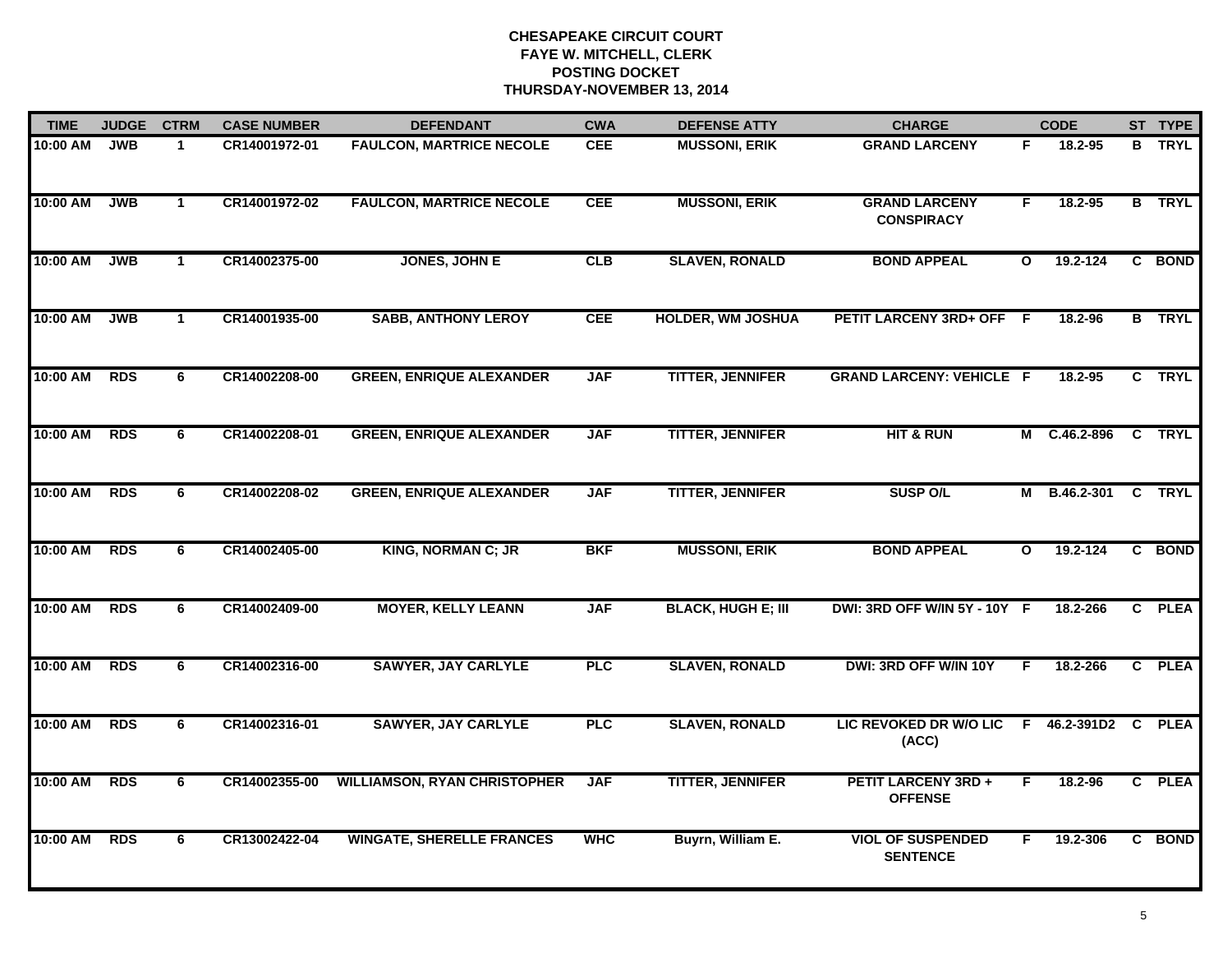| <b>TIME</b> | <b>JUDGE</b> | <b>CTRM</b>  | <b>CASE NUMBER</b> | <b>DEFENDANT</b>                    | <b>CWA</b> | <b>DEFENSE ATTY</b>       | <b>CHARGE</b>                                       |              | <b>CODE</b>       |  | ST TYPE       |
|-------------|--------------|--------------|--------------------|-------------------------------------|------------|---------------------------|-----------------------------------------------------|--------------|-------------------|--|---------------|
| 10:00 AM    | <b>JWB</b>   | $\mathbf{1}$ | CR14001972-01      | <b>FAULCON, MARTRICE NECOLE</b>     | <b>CEE</b> | <b>MUSSONI, ERIK</b>      | <b>GRAND LARCENY</b>                                | F.           | 18.2-95           |  | <b>B</b> TRYL |
| 10:00 AM    | <b>JWB</b>   | $\mathbf{1}$ | CR14001972-02      | <b>FAULCON, MARTRICE NECOLE</b>     | <b>CEE</b> | <b>MUSSONI, ERIK</b>      | <b>GRAND LARCENY</b><br><b>CONSPIRACY</b>           | F            | 18.2-95           |  | <b>B</b> TRYL |
| 10:00 AM    | <b>JWB</b>   | $\mathbf{1}$ | CR14002375-00      | JONES, JOHN E                       | CLB        | <b>SLAVEN, RONALD</b>     | <b>BOND APPEAL</b>                                  | $\mathbf{o}$ | 19.2-124          |  | C BOND        |
| 10:00 AM    | <b>JWB</b>   | 1            | CR14001935-00      | <b>SABB, ANTHONY LEROY</b>          | <b>CEE</b> | <b>HOLDER, WM JOSHUA</b>  | PETIT LARCENY 3RD+ OFF F                            |              | 18.2-96           |  | <b>B</b> TRYL |
| 10:00 AM    | <b>RDS</b>   | 6            | CR14002208-00      | <b>GREEN, ENRIQUE ALEXANDER</b>     | <b>JAF</b> | <b>TITTER, JENNIFER</b>   | <b>GRAND LARCENY: VEHICLE F</b>                     |              | 18.2-95           |  | C TRYL        |
| 10:00 AM    | <b>RDS</b>   | 6            | CR14002208-01      | <b>GREEN, ENRIQUE ALEXANDER</b>     | <b>JAF</b> | <b>TITTER, JENNIFER</b>   | <b>HIT &amp; RUN</b>                                |              | M C.46.2-896      |  | C TRYL        |
| 10:00 AM    | <b>RDS</b>   | 6            | CR14002208-02      | <b>GREEN, ENRIQUE ALEXANDER</b>     | <b>JAF</b> | <b>TITTER, JENNIFER</b>   | <b>SUSP O/L</b>                                     | М            | B.46.2-301 C TRYL |  |               |
| 10:00 AM    | <b>RDS</b>   | 6            | CR14002405-00      | <b>KING, NORMAN C; JR</b>           | <b>BKF</b> | <b>MUSSONI, ERIK</b>      | <b>BOND APPEAL</b>                                  | $\mathbf{o}$ | 19.2-124          |  | C BOND        |
| 10:00 AM    | <b>RDS</b>   | 6            | CR14002409-00      | <b>MOYER, KELLY LEANN</b>           | <b>JAF</b> | <b>BLACK, HUGH E; III</b> | DWI: 3RD OFF W/IN 5Y - 10Y F                        |              | 18.2-266          |  | C PLEA        |
| 10:00 AM    | <b>RDS</b>   | 6            | CR14002316-00      | <b>SAWYER, JAY CARLYLE</b>          | <b>PLC</b> | <b>SLAVEN, RONALD</b>     | DWI: 3RD OFF W/IN 10Y                               | F.           | 18.2-266          |  | C PLEA        |
| 10:00 AM    | <b>RDS</b>   | 6            | CR14002316-01      | <b>SAWYER, JAY CARLYLE</b>          | <b>PLC</b> | <b>SLAVEN, RONALD</b>     | LIC REVOKED DR W/O LIC F 46.2-391D2 C PLEA<br>(ACC) |              |                   |  |               |
| 10:00 AM    | <b>RDS</b>   | 6            | CR14002355-00      | <b>WILLIAMSON, RYAN CHRISTOPHER</b> | <b>JAF</b> | <b>TITTER, JENNIFER</b>   | <b>PETIT LARCENY 3RD +</b><br><b>OFFENSE</b>        | E            | 18.2-96           |  | C PLEA        |
| 10:00 AM    | <b>RDS</b>   | 6            | CR13002422-04      | <b>WINGATE, SHERELLE FRANCES</b>    | <b>WHC</b> | Buyrn, William E.         | <b>VIOL OF SUSPENDED</b><br><b>SENTENCE</b>         | F.           | 19.2-306          |  | C BOND        |